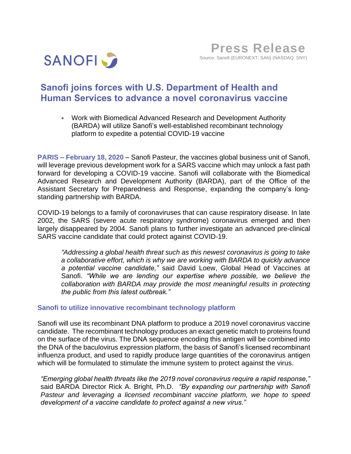

# **Sanofi joins forces with U.S. Department of Health and Human Services to advance a novel coronavirus vaccine**

 Work with Biomedical Advanced Research and Development Authority (BARDA) will utilize Sanofi's well-established recombinant technology platform to expedite a potential COVID-19 vaccine

**PARIS – February 18, 2020** – Sanofi Pasteur, the vaccines global business unit of Sanofi, will leverage previous development work for a SARS vaccine which may unlock a fast path forward for developing a COVID-19 vaccine. Sanofi will collaborate with the Biomedical Advanced Research and Development Authority (BARDA), part of the Office of the Assistant Secretary for Preparedness and Response, expanding the company's longstanding partnership with BARDA.

COVID-19 belongs to a family of coronaviruses that can cause respiratory disease. In late 2002, the SARS (severe acute respiratory syndrome) coronavirus emerged and then largely disappeared by 2004. Sanofi plans to further investigate an advanced pre-clinical SARS vaccine candidate that could protect against COVID-19.

*"Addressing a global health threat such as this newest coronavirus is going to take a collaborative effort, which is why we are working with BARDA to quickly advance a potential vaccine candidate,"* said David Loew, Global Head of Vaccines at Sanofi. *"While we are lending our expertise where possible, we believe the collaboration with BARDA may provide the most meaningful results in protecting the public from this latest outbreak."*

## **Sanofi to utilize innovative recombinant technology platform**

Sanofi will use its recombinant DNA platform to produce a 2019 novel coronavirus vaccine candidate. The recombinant technology produces an exact genetic match to proteins found on the surface of the virus. The DNA sequence encoding this antigen will be combined into the DNA of the baculovirus expression platform, the basis of Sanofi's licensed recombinant influenza product, and used to rapidly produce large quantities of the coronavirus antigen which will be formulated to stimulate the immune system to protect against the virus.

*"Emerging global health threats like the 2019 novel coronavirus require a rapid response,"* said BARDA Director Rick A. Bright, Ph.D. *"By expanding our partnership with Sanofi Pasteur and leveraging a licensed recombinant vaccine platform, we hope to speed development of a vaccine candidate to protect against a new virus."*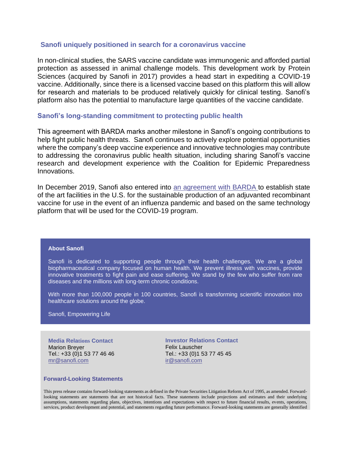### **Sanofi uniquely positioned in search for a coronavirus vaccine**

In non-clinical studies, the SARS vaccine candidate was immunogenic and afforded partial protection as assessed in animal challenge models. This development work by Protein Sciences (acquired by Sanofi in 2017) provides a head start in expediting a COVID-19 vaccine. Additionally, since there is a licensed vaccine based on this platform this will allow for research and materials to be produced relatively quickly for clinical testing. Sanofi's platform also has the potential to manufacture large quantities of the vaccine candidate.

## **Sanofi's long-standing commitment to protecting public health**

This agreement with BARDA marks another milestone in Sanofi's ongoing contributions to help fight public health threats. Sanofi continues to actively explore potential opportunities where the company's deep vaccine experience and innovative technologies may contribute to addressing the coronavirus public health situation, including sharing Sanofi's vaccine research and development experience with the Coalition for Epidemic Preparedness Innovations.

In December 2019, Sanofi also entered into [an agreement with BARDA](http://www.news.sanofi.us/2019-12-09-Sanofi-awarded-226-million-by-US-government-to-expand-pandemic-influenza-preparedness) to establish state of the art facilities in the U.S. for the sustainable production of an adjuvanted recombinant vaccine for use in the event of an influenza pandemic and based on the same technology platform that will be used for the COVID-19 program.

#### **About Sanofi**

Sanofi is dedicated to supporting people through their health challenges. We are a global biopharmaceutical company focused on human health. We prevent illness with vaccines, provide innovative treatments to fight pain and ease suffering. We stand by the few who suffer from rare diseases and the millions with long-term chronic conditions.

With more than 100,000 people in 100 countries, Sanofi is transforming scientific innovation into healthcare solutions around the globe.

Sanofi, Empowering Life

**Media Relations Contact** Marion Breyer Tel.: +33 (0)1 53 77 46 46 [mr@sanofi.com](mailto:mr@sanofi.com)

**Investor Relations Contact** Felix Lauscher Tel.: +33 (0)1 53 77 45 45 [ir@sanofi.com](mailto:ir@sanofi.com)

#### **Forward-Looking Statements**

This press release contains forward-looking statements as defined in the Private Securities Litigation Reform Act of 1995, as amended. Forwardlooking statements are statements that are not historical facts. These statements include projections and estimates and their underlying assumptions, statements regarding plans, objectives, intentions and expectations with respect to future financial results, events, operations, services, product development and potential, and statements regarding future performance. Forward-looking statements are generally identified